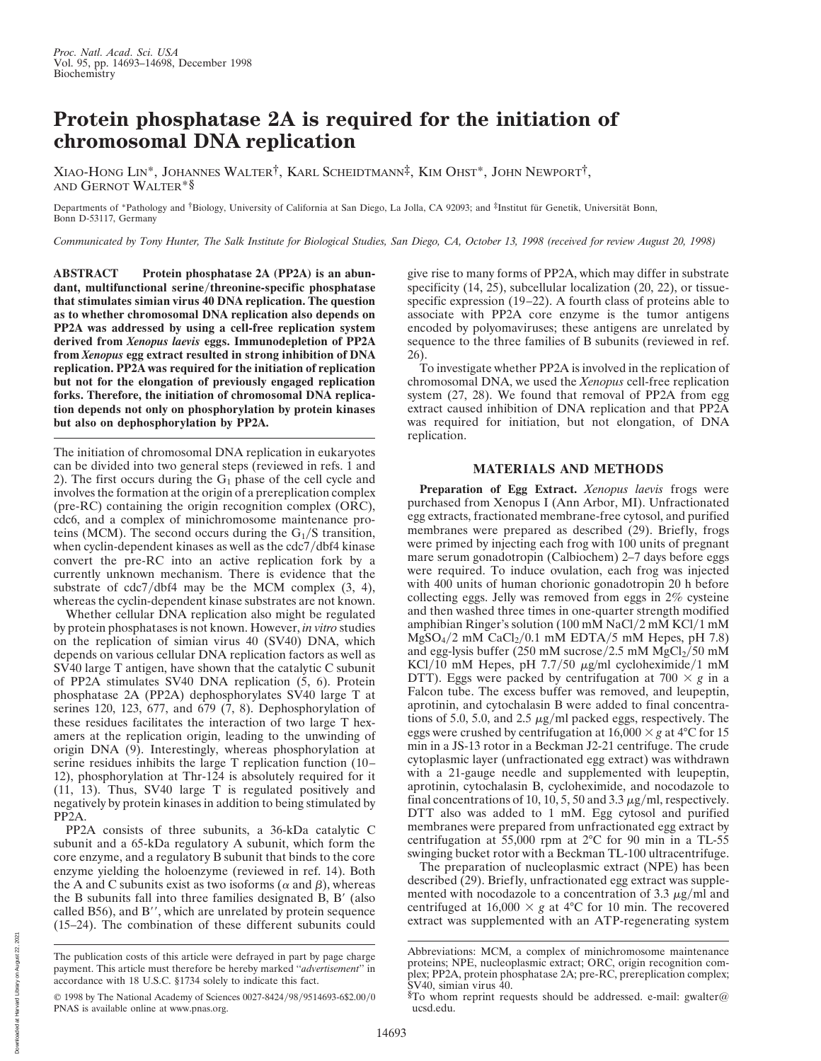## **Protein phosphatase 2A is required for the initiation of chromosomal DNA replication**

XIAO-HONG LIN\*, JOHANNES WALTER†, KARL SCHEIDTMANN‡, KIM OHST\*, JOHN NEWPORT†, AND GERNOT WALTER\*§

Departments of \*Pathology and †Biology, University of California at San Diego, La Jolla, CA 92093; and ‡Institut für Genetik, Universität Bonn, Bonn D-53117, Germany

*Communicated by Tony Hunter, The Salk Institute for Biological Studies, San Diego, CA, October 13, 1998 (received for review August 20, 1998)*

**ABSTRACT Protein phosphatase 2A (PP2A) is an abun**dant, multifunctional serine/threonine-specific phosphatase **that stimulates simian virus 40 DNA replication. The question as to whether chromosomal DNA replication also depends on PP2A was addressed by using a cell-free replication system derived from** *Xenopus laevis* **eggs. Immunodepletion of PP2A from** *Xenopus* **egg extract resulted in strong inhibition of DNA replication. PP2A was required for the initiation of replication but not for the elongation of previously engaged replication forks. Therefore, the initiation of chromosomal DNA replication depends not only on phosphorylation by protein kinases but also on dephosphorylation by PP2A.**

The initiation of chromosomal DNA replication in eukaryotes can be divided into two general steps (reviewed in refs. 1 and 2). The first occurs during the  $G_1$  phase of the cell cycle and involves the formation at the origin of a prereplication complex (pre-RC) containing the origin recognition complex (ORC), cdc6, and a complex of minichromosome maintenance proteins (MCM). The second occurs during the  $G_1/S$  transition, when cyclin-dependent kinases as well as the  $\frac{cd}{7}$ dbf4 kinase convert the pre-RC into an active replication fork by a currently unknown mechanism. There is evidence that the substrate of  $cdc7/dbf4$  may be the MCM complex  $(3, 4)$ , whereas the cyclin-dependent kinase substrates are not known.

Whether cellular DNA replication also might be regulated by protein phosphatases is not known. However, *in vitro* studies on the replication of simian virus 40 (SV40) DNA, which depends on various cellular DNA replication factors as well as SV40 large T antigen, have shown that the catalytic C subunit of PP2A stimulates SV40 DNA replication (5, 6). Protein phosphatase 2A (PP2A) dephosphorylates SV40 large T at serines 120, 123, 677, and 679 (7, 8). Dephosphorylation of these residues facilitates the interaction of two large T hexamers at the replication origin, leading to the unwinding of origin DNA (9). Interestingly, whereas phosphorylation at serine residues inhibits the large T replication function (10– 12), phosphorylation at Thr-124 is absolutely required for it (11, 13). Thus, SV40 large T is regulated positively and negatively by protein kinases in addition to being stimulated by PP2A.

PP2A consists of three subunits, a 36-kDa catalytic C subunit and a 65-kDa regulatory A subunit, which form the core enzyme, and a regulatory B subunit that binds to the core enzyme yielding the holoenzyme (reviewed in ref. 14). Both the A and C subunits exist as two isoforms ( $\alpha$  and  $\beta$ ), whereas the B subunits fall into three families designated  $B$ ,  $B'$  (also called B56), and B $^{\prime\prime}$ , which are unrelated by protein sequence (15–24). The combination of these different subunits could

give rise to many forms of PP2A, which may differ in substrate specificity (14, 25), subcellular localization (20, 22), or tissuespecific expression (19–22). A fourth class of proteins able to associate with PP2A core enzyme is the tumor antigens encoded by polyomaviruses; these antigens are unrelated by sequence to the three families of B subunits (reviewed in ref. 26).

To investigate whether PP2A is involved in the replication of chromosomal DNA, we used the *Xenopus* cell-free replication system (27, 28). We found that removal of PP2A from egg extract caused inhibition of DNA replication and that PP2A was required for initiation, but not elongation, of DNA replication.

## **MATERIALS AND METHODS**

**Preparation of Egg Extract.** *Xenopus laevis* frogs were purchased from Xenopus I (Ann Arbor, MI). Unfractionated egg extracts, fractionated membrane-free cytosol, and purified membranes were prepared as described (29). Briefly, frogs were primed by injecting each frog with 100 units of pregnant mare serum gonadotropin (Calbiochem) 2–7 days before eggs were required. To induce ovulation, each frog was injected with 400 units of human chorionic gonadotropin 20 h before collecting eggs. Jelly was removed from eggs in 2% cysteine and then washed three times in one-quarter strength modified amphibian Ringer's solution (100 mM NaCl/2 mM KCl/1 mM  $MgSO<sub>4</sub>/2$  mM  $CaCl<sub>2</sub>/0.1$  mM EDTA/5 mM Hepes, pH 7.8) and egg-lysis buffer (250 mM sucrose/2.5 mM  $MgCl<sub>2</sub>/50$  mM KCl/10 mM Hepes, pH  $7.7/50 \mu g/ml$  cycloheximide/1 mM DTT). Eggs were packed by centrifugation at  $700 \times g$  in a Falcon tube. The excess buffer was removed, and leupeptin, aprotinin, and cytochalasin B were added to final concentrations of 5.0, 5.0, and 2.5  $\mu$ g/ml packed eggs, respectively. The eggs were crushed by centrifugation at  $16,000 \times g$  at  $4^{\circ}$ C for 15 min in a JS-13 rotor in a Beckman J2-21 centrifuge. The crude cytoplasmic layer (unfractionated egg extract) was withdrawn with a 21-gauge needle and supplemented with leupeptin, aprotinin, cytochalasin B, cycloheximide, and nocodazole to final concentrations of 10, 10, 5, 50 and 3.3  $\mu$ g/ml, respectively. DTT also was added to 1 mM. Egg cytosol and purified membranes were prepared from unfractionated egg extract by centrifugation at 55,000 rpm at 2°C for 90 min in a TL-55 swinging bucket rotor with a Beckman TL-100 ultracentrifuge.

The preparation of nucleoplasmic extract (NPE) has been described (29). Briefly, unfractionated egg extract was supplemented with nocodazole to a concentration of 3.3  $\mu$ g/ml and centrifuged at  $16,000 \times g$  at 4°C for 10 min. The recovered extract was supplemented with an ATP-regenerating system

The publication costs of this article were defrayed in part by page charge payment. This article must therefore be hereby marked ''*advertisement*'' in accordance with 18 U.S.C. §1734 solely to indicate this fact.

<sup>© 1998</sup> by The National Academy of Sciences 0027-8424/98/9514693-6\$2.00/0 PNAS is available online at www.pnas.org.

Abbreviations: MCM, a complex of minichromosome maintenance proteins; NPE, nucleoplasmic extract; ORC, origin recognition complex; PP2A, protein phosphatase 2A; pre-RC, prereplication complex; SV40, simian virus 40.

<sup>§</sup>To whom reprint requests should be addressed. e-mail: gwalter@ ucsd.edu.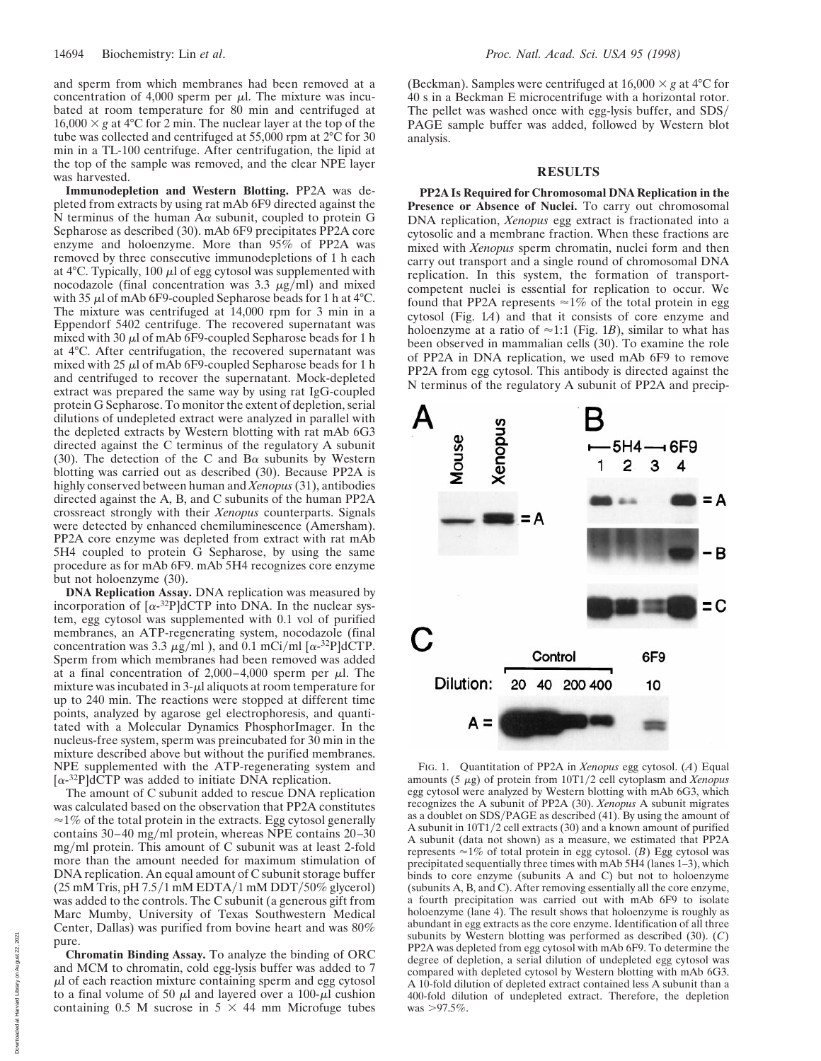and sperm from which membranes had been removed at a concentration of 4,000 sperm per  $\mu$ l. The mixture was incubated at room temperature for 80 min and centrifuged at  $16,000 \times g$  at 4°C for 2 min. The nuclear layer at the top of the tube was collected and centrifuged at 55,000 rpm at 2°C for 30 min in a TL-100 centrifuge. After centrifugation, the lipid at the top of the sample was removed, and the clear NPE layer was harvested.

**Immunodepletion and Western Blotting.** PP2A was depleted from extracts by using rat mAb 6F9 directed against the N terminus of the human  $A\alpha$  subunit, coupled to protein G Sepharose as described (30). mAb 6F9 precipitates PP2A core enzyme and holoenzyme. More than 95% of PP2A was removed by three consecutive immunodepletions of 1 h each at 4 $\degree$ C. Typically, 100  $\mu$ l of egg cytosol was supplemented with nocodazole (final concentration was  $3.3 \mu g/ml$ ) and mixed with 35  $\mu$ l of mAb 6F9-coupled Sepharose beads for 1 h at 4°C. The mixture was centrifuged at 14,000 rpm for 3 min in a Eppendorf 5402 centrifuge. The recovered supernatant was mixed with 30  $\mu$ l of mAb 6F9-coupled Sepharose beads for 1 h at 4°C. After centrifugation, the recovered supernatant was mixed with 25  $\mu$ l of mAb 6F9-coupled Sepharose beads for 1 h and centrifuged to recover the supernatant. Mock-depleted extract was prepared the same way by using rat IgG-coupled protein G Sepharose. To monitor the extent of depletion, serial dilutions of undepleted extract were analyzed in parallel with the depleted extracts by Western blotting with rat mAb 6G3 directed against the C terminus of the regulatory A subunit (30). The detection of the C and B $\alpha$  subunits by Western blotting was carried out as described (30). Because PP2A is highly conserved between human and *Xenopus* (31), antibodies directed against the A, B, and C subunits of the human PP2A crossreact strongly with their *Xenopus* counterparts. Signals were detected by enhanced chemiluminescence (Amersham). PP2A core enzyme was depleted from extract with rat mAb 5H4 coupled to protein G Sepharose, by using the same procedure as for mAb 6F9. mAb 5H4 recognizes core enzyme but not holoenzyme (30).

**DNA Replication Assay.** DNA replication was measured by incorporation of  $\left[\alpha^{-32}P\right]$ dCTP into DNA. In the nuclear system, egg cytosol was supplemented with 0.1 vol of purified membranes, an ATP-regenerating system, nocodazole (final concentration was 3.3  $\mu$ g/ml), and 0.1 mCi/ml [ $\alpha$ -<sup>32</sup>P]dCTP. Sperm from which membranes had been removed was added at a final concentration of 2,000–4,000 sperm per  $\mu$ l. The mixture was incubated in  $3-\mu$ l aliquots at room temperature for up to 240 min. The reactions were stopped at different time points, analyzed by agarose gel electrophoresis, and quantitated with a Molecular Dynamics PhosphorImager. In the nucleus-free system, sperm was preincubated for 30 min in the mixture described above but without the purified membranes. NPE supplemented with the ATP-regenerating system and  $[\alpha^{-32}P]$ dCTP was added to initiate DNA replication.

The amount of C subunit added to rescue DNA replication was calculated based on the observation that PP2A constitutes  $\approx$ 1% of the total protein in the extracts. Egg cytosol generally contains  $30-40$  mg/ml protein, whereas NPE contains  $20-30$ mgyml protein. This amount of C subunit was at least 2-fold more than the amount needed for maximum stimulation of DNA replication. An equal amount of C subunit storage buffer  $(25 \text{ mM Tris}, \text{pH } 7.5/1 \text{ mM EDTA}/1 \text{ mM DDT}/50\%$  glycerol) was added to the controls. The C subunit (a generous gift from Marc Mumby, University of Texas Southwestern Medical Center, Dallas) was purified from bovine heart and was 80% pure.

**Chromatin Binding Assay.** To analyze the binding of ORC and MCM to chromatin, cold egg-lysis buffer was added to 7  $\mu$ l of each reaction mixture containing sperm and egg cytosol to a final volume of 50  $\mu$ l and layered over a 100- $\mu$ l cushion containing 0.5 M sucrose in  $5 \times 44$  mm Microfuge tubes (Beckman). Samples were centrifuged at  $16,000 \times g$  at  $4^{\circ}$ C for 40 s in a Beckman E microcentrifuge with a horizontal rotor. The pellet was washed once with egg-lysis buffer, and SDS/ PAGE sample buffer was added, followed by Western blot analysis.

## **RESULTS**

**PP2A Is Required for Chromosomal DNA Replication in the Presence or Absence of Nuclei.** To carry out chromosomal DNA replication, *Xenopus* egg extract is fractionated into a cytosolic and a membrane fraction. When these fractions are mixed with *Xenopus* sperm chromatin, nuclei form and then carry out transport and a single round of chromosomal DNA replication. In this system, the formation of transportcompetent nuclei is essential for replication to occur. We found that PP2A represents  $\approx$ 1% of the total protein in egg cytosol (Fig. 1*A*) and that it consists of core enzyme and holoenzyme at a ratio of  $\approx$ 1:1 (Fig. 1*B*), similar to what has been observed in mammalian cells (30). To examine the role of PP2A in DNA replication, we used mAb 6F9 to remove PP2A from egg cytosol. This antibody is directed against the N terminus of the regulatory A subunit of PP2A and precip-



FIG. 1. Quantitation of PP2A in *Xenopus* egg cytosol. (*A*) Equal amounts (5  $\mu$ g) of protein from 10T1/2 cell cytoplasm and *Xenopus* egg cytosol were analyzed by Western blotting with mAb 6G3, which recognizes the A subunit of PP2A (30). *Xenopus* A subunit migrates as a doublet on SDS/PAGE as described (41). By using the amount of A subunit in  $10T1/2$  cell extracts (30) and a known amount of purified A subunit (data not shown) as a measure, we estimated that PP2A represents  $\approx$  1% of total protein in egg cytosol. (*B*) Egg cytosol was precipitated sequentially three times with mAb 5H4 (lanes 1–3), which binds to core enzyme (subunits A and C) but not to holoenzyme (subunits A, B, and C). After removing essentially all the core enzyme, a fourth precipitation was carried out with mAb 6F9 to isolate holoenzyme (lane 4). The result shows that holoenzyme is roughly as abundant in egg extracts as the core enzyme. Identification of all three subunits by Western blotting was performed as described (30). (*C*) PP2A was depleted from egg cytosol with mAb 6F9. To determine the degree of depletion, a serial dilution of undepleted egg cytosol was compared with depleted cytosol by Western blotting with mAb 6G3. A 10-fold dilution of depleted extract contained less A subunit than a 400-fold dilution of undepleted extract. Therefore, the depletion was  $>97.5\%$ .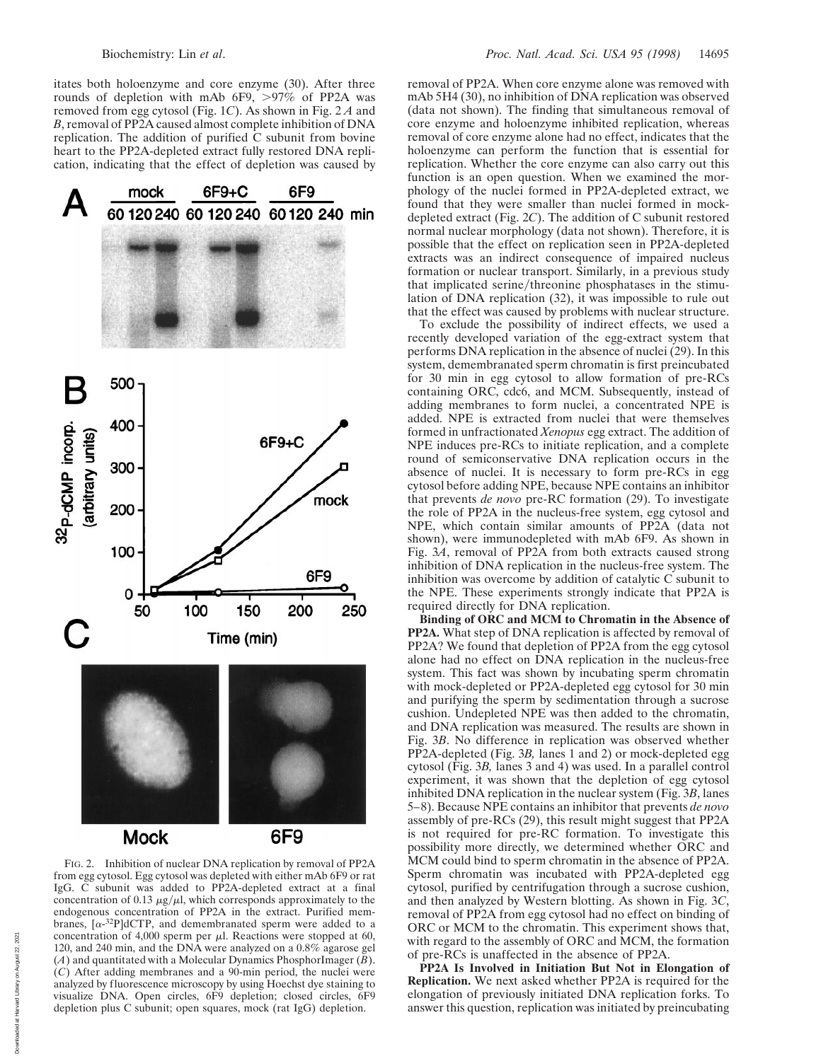itates both holoenzyme and core enzyme (30). After three rounds of depletion with mAb  $6F9$ ,  $>97\%$  of PP2A was removed from egg cytosol (Fig. 1*C*). As shown in Fig. 2 *A* and *B*, removal of PP2A caused almost complete inhibition of DNA replication. The addition of purified C subunit from bovine heart to the PP2A-depleted extract fully restored DNA replication, indicating that the effect of depletion was caused by



FIG. 2. Inhibition of nuclear DNA replication by removal of PP2A from egg cytosol. Egg cytosol was depleted with either mAb 6F9 or rat IgG. C subunit was added to PP2A-depleted extract at a final concentration of 0.13  $\mu$ g/ $\mu$ l, which corresponds approximately to the endogenous concentration of PP2A in the extract. Purified membranes,  $\lceil \alpha^{-32}P \rceil dCTP$ , and demembranated sperm were added to a concentration of 4,000 sperm per  $\mu$ l. Reactions were stopped at 60, 120, and 240 min, and the DNA were analyzed on a 0.8% agarose gel (*A*) and quantitated with a Molecular Dynamics PhosphorImager (*B*). (*C*) After adding membranes and a 90-min period, the nuclei were analyzed by fluorescence microscopy by using Hoechst dye staining to visualize DNA. Open circles, 6F9 depletion; closed circles, 6F9 depletion plus C subunit; open squares, mock (rat IgG) depletion.

removal of PP2A. When core enzyme alone was removed with mAb 5H4 (30), no inhibition of DNA replication was observed (data not shown). The finding that simultaneous removal of core enzyme and holoenzyme inhibited replication, whereas removal of core enzyme alone had no effect, indicates that the holoenzyme can perform the function that is essential for replication. Whether the core enzyme can also carry out this function is an open question. When we examined the morphology of the nuclei formed in PP2A-depleted extract, we found that they were smaller than nuclei formed in mockdepleted extract (Fig. 2*C*). The addition of C subunit restored normal nuclear morphology (data not shown). Therefore, it is possible that the effect on replication seen in PP2A-depleted extracts was an indirect consequence of impaired nucleus formation or nuclear transport. Similarly, in a previous study that implicated serine/threonine phosphatases in the stimulation of DNA replication (32), it was impossible to rule out that the effect was caused by problems with nuclear structure.

To exclude the possibility of indirect effects, we used a recently developed variation of the egg-extract system that performs DNA replication in the absence of nuclei (29). In this system, demembranated sperm chromatin is first preincubated for 30 min in egg cytosol to allow formation of pre-RCs containing ORC, cdc6, and MCM. Subsequently, instead of adding membranes to form nuclei, a concentrated NPE is added. NPE is extracted from nuclei that were themselves formed in unfractionated *Xenopus* egg extract. The addition of NPE induces pre-RCs to initiate replication, and a complete round of semiconservative DNA replication occurs in the absence of nuclei. It is necessary to form pre-RCs in egg cytosol before adding NPE, because NPE contains an inhibitor that prevents *de novo* pre-RC formation (29). To investigate the role of PP2A in the nucleus-free system, egg cytosol and NPE, which contain similar amounts of PP2A (data not shown), were immunodepleted with mAb 6F9. As shown in Fig. 3*A*, removal of PP2A from both extracts caused strong inhibition of DNA replication in the nucleus-free system. The inhibition was overcome by addition of catalytic C subunit to the NPE. These experiments strongly indicate that PP2A is required directly for DNA replication.

**Binding of ORC and MCM to Chromatin in the Absence of PP2A.** What step of DNA replication is affected by removal of PP2A? We found that depletion of PP2A from the egg cytosol alone had no effect on DNA replication in the nucleus-free system. This fact was shown by incubating sperm chromatin with mock-depleted or PP2A-depleted egg cytosol for 30 min and purifying the sperm by sedimentation through a sucrose cushion. Undepleted NPE was then added to the chromatin, and DNA replication was measured. The results are shown in Fig. 3*B*. No difference in replication was observed whether PP2A-depleted (Fig. 3*B,* lanes 1 and 2) or mock-depleted egg cytosol (Fig. 3*B,* lanes 3 and 4) was used. In a parallel control experiment, it was shown that the depletion of egg cytosol inhibited DNA replication in the nuclear system (Fig. 3*B*, lanes 5–8). Because NPE contains an inhibitor that prevents *de novo* assembly of pre-RCs (29), this result might suggest that PP2A is not required for pre-RC formation. To investigate this possibility more directly, we determined whether ORC and MCM could bind to sperm chromatin in the absence of PP2A. Sperm chromatin was incubated with PP2A-depleted egg cytosol, purified by centrifugation through a sucrose cushion, and then analyzed by Western blotting. As shown in Fig. 3*C*, removal of PP2A from egg cytosol had no effect on binding of ORC or MCM to the chromatin. This experiment shows that, with regard to the assembly of ORC and MCM, the formation of pre-RCs is unaffected in the absence of PP2A.

**PP2A Is Involved in Initiation But Not in Elongation of Replication.** We next asked whether PP2A is required for the elongation of previously initiated DNA replication forks. To answer this question, replication was initiated by preincubating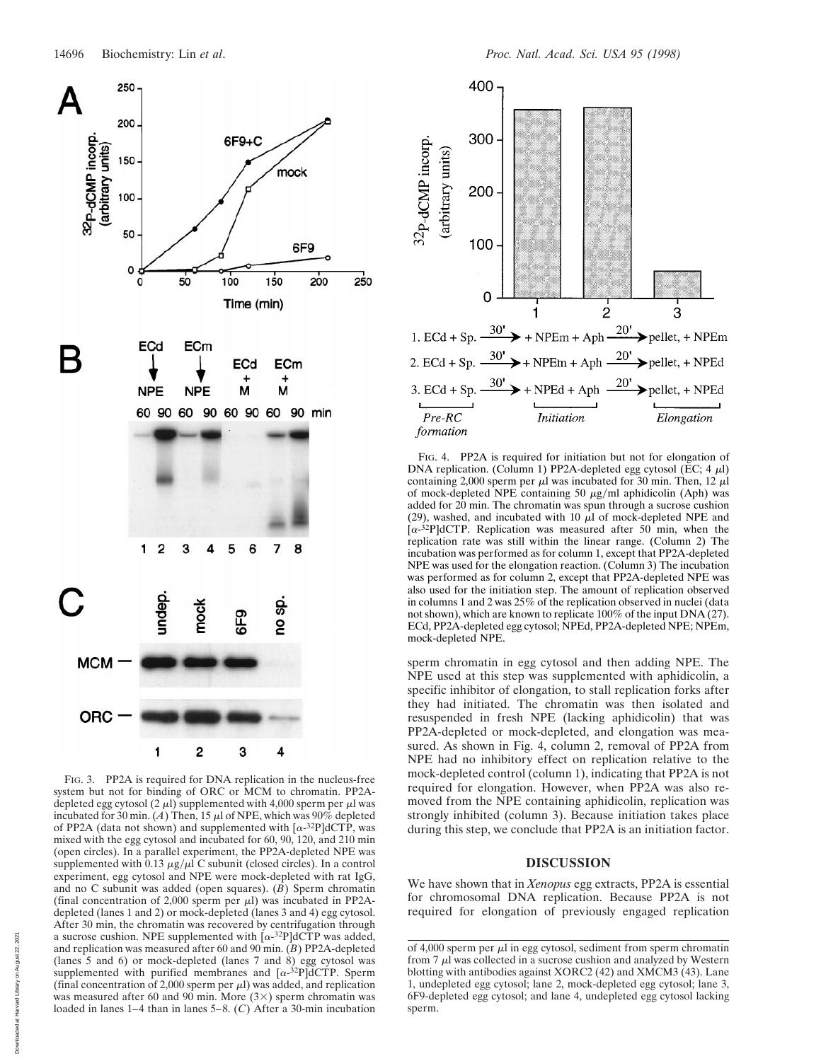

FIG. 3. PP2A is required for DNA replication in the nucleus-free system but not for binding of ORC or MCM to chromatin. PP2Adepleted egg cytosol (2  $\mu$ l) supplemented with 4,000 sperm per  $\mu$ l was incubated for 30 min. (*A*) Then, 15  $\mu$ l of NPE, which was 90% depleted of PP2A (data not shown) and supplemented with  $\lceil \alpha^{-32}P \rceil dCTP$ , was mixed with the egg cytosol and incubated for 60, 90, 120, and 210 min (open circles). In a parallel experiment, the PP2A-depleted NPE was supplemented with 0.13  $\mu$ g/ $\mu$ l C subunit (closed circles). In a control experiment, egg cytosol and NPE were mock-depleted with rat IgG, and no C subunit was added (open squares). (*B*) Sperm chromatin (final concentration of 2,000 sperm per  $\mu$ l) was incubated in PP2Adepleted (lanes 1 and 2) or mock-depleted (lanes 3 and 4) egg cytosol. After 30 min, the chromatin was recovered by centrifugation through a sucrose cushion. NPE supplemented with  $\alpha$ -32P]dCTP was added, and replication was measured after 60 and 90 min. (*B*) PP2A-depleted (lanes 5 and 6) or mock-depleted (lanes 7 and 8) egg cytosol was supplemented with purified membranes and  $[\alpha^{-32}P]$ dCTP. Sperm (final concentration of 2,000 sperm per  $\mu$ l) was added, and replication was measured after 60 and 90 min. More  $(3\times)$  sperm chromatin was loaded in lanes 1–4 than in lanes 5–8. (*C*) After a 30-min incubation



FIG. 4. PP2A is required for initiation but not for elongation of DNA replication. (Column 1) PP2A-depleted egg cytosol (EC;  $4 \mu$ l) containing 2,000 sperm per  $\mu$ l was incubated for 30 min. Then, 12  $\mu$ l of mock-depleted NPE containing 50  $\mu$ g/ml aphidicolin (Aph) was added for 20 min. The chromatin was spun through a sucrose cushion (29), washed, and incubated with 10  $\mu$ l of mock-depleted NPE and  $[\alpha^{-32}P]$ dCTP. Replication was measured after 50 min, when the replication rate was still within the linear range. (Column 2) The incubation was performed as for column 1, except that PP2A-depleted NPE was used for the elongation reaction. (Column 3) The incubation was performed as for column 2, except that PP2A-depleted NPE was also used for the initiation step. The amount of replication observed in columns 1 and 2 was 25% of the replication observed in nuclei (data not shown), which are known to replicate 100% of the input DNA (27). ECd, PP2A-depleted egg cytosol; NPEd, PP2A-depleted NPE; NPEm, mock-depleted NPE.

sperm chromatin in egg cytosol and then adding NPE. The NPE used at this step was supplemented with aphidicolin, a specific inhibitor of elongation, to stall replication forks after they had initiated. The chromatin was then isolated and resuspended in fresh NPE (lacking aphidicolin) that was PP2A-depleted or mock-depleted, and elongation was measured. As shown in Fig. 4, column 2, removal of PP2A from NPE had no inhibitory effect on replication relative to the mock-depleted control (column 1), indicating that PP2A is not required for elongation. However, when PP2A was also removed from the NPE containing aphidicolin, replication was strongly inhibited (column 3). Because initiation takes place during this step, we conclude that PP2A is an initiation factor.

## **DISCUSSION**

We have shown that in *Xenopus* egg extracts, PP2A is essential for chromosomal DNA replication. Because PP2A is not required for elongation of previously engaged replication

of 4,000 sperm per  $\mu$ l in egg cytosol, sediment from sperm chromatin from  $7 \mu$ l was collected in a sucrose cushion and analyzed by Western blotting with antibodies against XORC2 (42) and XMCM3 (43). Lane 1, undepleted egg cytosol; lane 2, mock-depleted egg cytosol; lane 3, 6F9-depleted egg cytosol; and lane 4, undepleted egg cytosol lacking sperm.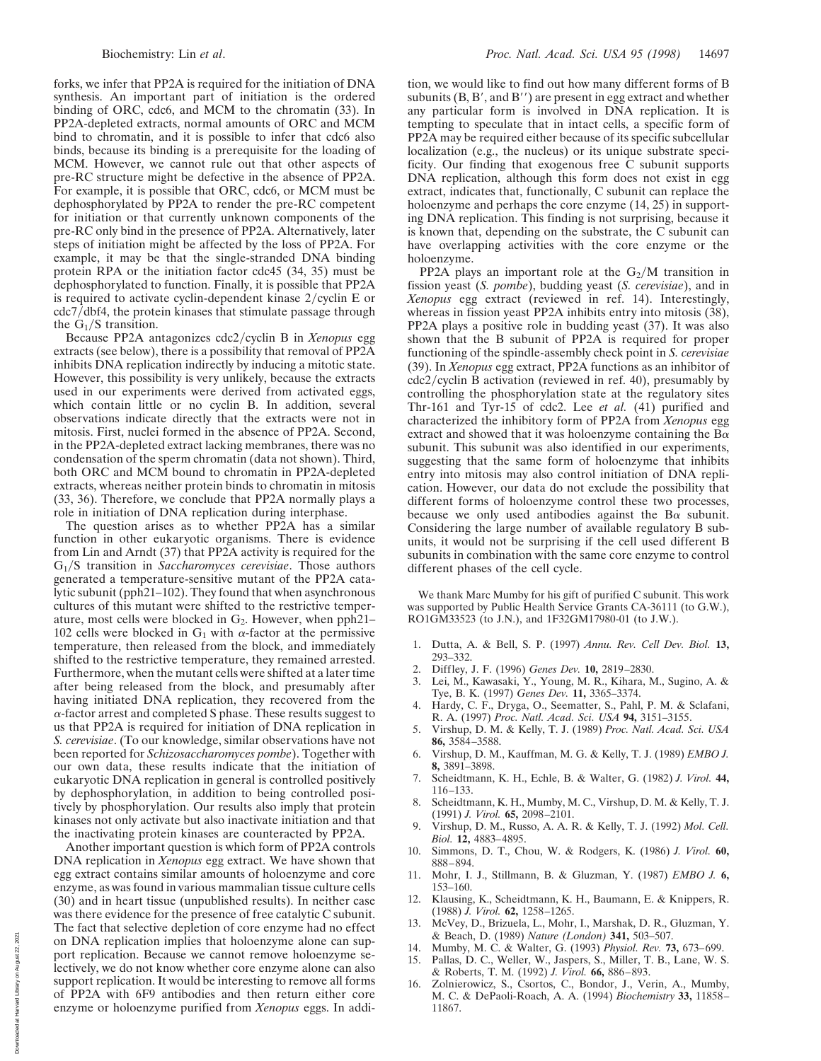forks, we infer that PP2A is required for the initiation of DNA synthesis. An important part of initiation is the ordered binding of ORC, cdc6, and MCM to the chromatin (33). In PP2A-depleted extracts, normal amounts of ORC and MCM bind to chromatin, and it is possible to infer that cdc6 also binds, because its binding is a prerequisite for the loading of MCM. However, we cannot rule out that other aspects of pre-RC structure might be defective in the absence of PP2A. For example, it is possible that ORC, cdc6, or MCM must be dephosphorylated by PP2A to render the pre-RC competent for initiation or that currently unknown components of the pre-RC only bind in the presence of PP2A. Alternatively, later steps of initiation might be affected by the loss of PP2A. For example, it may be that the single-stranded DNA binding protein RPA or the initiation factor cdc45 (34, 35) must be dephosphorylated to function. Finally, it is possible that PP2A is required to activate cyclin-dependent kinase  $2/cyclin E$  or cdc7/dbf4, the protein kinases that stimulate passage through the  $G_1/S$  transition.

Because PP2A antagonizes cdc2/cyclin B in *Xenopus* egg extracts (see below), there is a possibility that removal of PP2A inhibits DNA replication indirectly by inducing a mitotic state. However, this possibility is very unlikely, because the extracts used in our experiments were derived from activated eggs, which contain little or no cyclin B. In addition, several observations indicate directly that the extracts were not in mitosis. First, nuclei formed in the absence of PP2A. Second, in the PP2A-depleted extract lacking membranes, there was no condensation of the sperm chromatin (data not shown). Third, both ORC and MCM bound to chromatin in PP2A-depleted extracts, whereas neither protein binds to chromatin in mitosis (33, 36). Therefore, we conclude that PP2A normally plays a role in initiation of DNA replication during interphase.

The question arises as to whether PP2A has a similar function in other eukaryotic organisms. There is evidence from Lin and Arndt (37) that PP2A activity is required for the G<sub>1</sub>/S transition in *Saccharomyces cerevisiae*. Those authors generated a temperature-sensitive mutant of the PP2A catalytic subunit (pph21–102). They found that when asynchronous cultures of this mutant were shifted to the restrictive temperature, most cells were blocked in  $G_2$ . However, when pph21– 102 cells were blocked in  $G_1$  with  $\alpha$ -factor at the permissive temperature, then released from the block, and immediately shifted to the restrictive temperature, they remained arrested. Furthermore, when the mutant cells were shifted at a later time after being released from the block, and presumably after having initiated DNA replication, they recovered from the  $\alpha$ -factor arrest and completed S phase. These results suggest to us that PP2A is required for initiation of DNA replication in *S. cerevisiae*. (To our knowledge, similar observations have not been reported for *Schizosaccharomyces pombe*). Together with our own data, these results indicate that the initiation of eukaryotic DNA replication in general is controlled positively by dephosphorylation, in addition to being controlled positively by phosphorylation. Our results also imply that protein kinases not only activate but also inactivate initiation and that the inactivating protein kinases are counteracted by PP2A.

Another important question is which form of PP2A controls DNA replication in *Xenopus* egg extract. We have shown that egg extract contains similar amounts of holoenzyme and core enzyme, as was found in various mammalian tissue culture cells (30) and in heart tissue (unpublished results). In neither case was there evidence for the presence of free catalytic C subunit. The fact that selective depletion of core enzyme had no effect on DNA replication implies that holoenzyme alone can support replication. Because we cannot remove holoenzyme selectively, we do not know whether core enzyme alone can also support replication. It would be interesting to remove all forms of PP2A with 6F9 antibodies and then return either core enzyme or holoenzyme purified from *Xenopus* eggs. In addition, we would like to find out how many different forms of B subunits  $(B, B', and B'')$  are present in egg extract and whether any particular form is involved in DNA replication. It is tempting to speculate that in intact cells, a specific form of PP2A may be required either because of its specific subcellular localization (e.g., the nucleus) or its unique substrate specificity. Our finding that exogenous free C subunit supports DNA replication, although this form does not exist in egg extract, indicates that, functionally, C subunit can replace the holoenzyme and perhaps the core enzyme (14, 25) in supporting DNA replication. This finding is not surprising, because it is known that, depending on the substrate, the C subunit can have overlapping activities with the core enzyme or the holoenzyme.

PP2A plays an important role at the  $G_2/M$  transition in fission yeast (*S. pombe*), budding yeast (*S. cerevisiae*), and in *Xenopus* egg extract (reviewed in ref. 14). Interestingly, whereas in fission yeast PP2A inhibits entry into mitosis (38), PP2A plays a positive role in budding yeast (37). It was also shown that the B subunit of PP2A is required for proper functioning of the spindle-assembly check point in *S. cerevisiae* (39). In *Xenopus* egg extract, PP2A functions as an inhibitor of  $cdc2/cyclin B$  activation (reviewed in ref. 40), presumably by controlling the phosphorylation state at the regulatory sites Thr-161 and Tyr-15 of cdc2. Lee *et al.* (41) purified and characterized the inhibitory form of PP2A from *Xenopus* egg extract and showed that it was holoenzyme containing the  $B\alpha$ subunit. This subunit was also identified in our experiments, suggesting that the same form of holoenzyme that inhibits entry into mitosis may also control initiation of DNA replication. However, our data do not exclude the possibility that different forms of holoenzyme control these two processes, because we only used antibodies against the  $B\alpha$  subunit. Considering the large number of available regulatory B subunits, it would not be surprising if the cell used different B subunits in combination with the same core enzyme to control different phases of the cell cycle.

We thank Marc Mumby for his gift of purified C subunit. This work was supported by Public Health Service Grants CA-36111 (to G.W.), RO1GM33523 (to J.N.), and 1F32GM17980-01 (to J.W.).

- 1. Dutta, A. & Bell, S. P. (1997) *Annu. Rev. Cell Dev. Biol.* **13,** 293–332.
- 2. Diffley, J. F. (1996) *Genes Dev.* **10,** 2819–2830.
- 3. Lei, M., Kawasaki, Y., Young, M. R., Kihara, M., Sugino, A. & Tye, B. K. (1997) *Genes Dev.* **11,** 3365–3374.
- 4. Hardy, C. F., Dryga, O., Seematter, S., Pahl, P. M. & Sclafani, R. A. (1997) *Proc. Natl. Acad. Sci. USA* **94,** 3151–3155.
- 5. Virshup, D. M. & Kelly, T. J. (1989) *Proc. Natl. Acad. Sci. USA* **86,** 3584–3588.
- 6. Virshup, D. M., Kauffman, M. G. & Kelly, T. J. (1989) *EMBO J.* **8,** 3891–3898.
- 7. Scheidtmann, K. H., Echle, B. & Walter, G. (1982) *J. Virol.* **44,** 116–133.
- 8. Scheidtmann, K. H., Mumby, M. C., Virshup, D. M. & Kelly, T. J. (1991) *J. Virol.* **65,** 2098–2101.
- 9. Virshup, D. M., Russo, A. A. R. & Kelly, T. J. (1992) *Mol. Cell. Biol.* **12,** 4883–4895.
- 10. Simmons, D. T., Chou, W. & Rodgers, K. (1986) *J. Virol.* **60,** 888–894.
- 11. Mohr, I. J., Stillmann, B. & Gluzman, Y. (1987) *EMBO J.* **6,** 153–160.
- 12. Klausing, K., Scheidtmann, K. H., Baumann, E. & Knippers, R. (1988) *J. Virol.* **62,** 1258–1265.
- 13. McVey, D., Brizuela, L., Mohr, I., Marshak, D. R., Gluzman, Y. & Beach, D. (1989) *Nature (London)* **341,** 503–507.
- 14. Mumby, M. C. & Walter, G. (1993) *Physiol. Rev.* **73,** 673–699. 15. Pallas, D. C., Weller, W., Jaspers, S., Miller, T. B., Lane, W. S.
- & Roberts, T. M. (1992) *J. Virol.* **66,** 886–893.
- 16. Zolnierowicz, S., Csortos, C., Bondor, J., Verin, A., Mumby, M. C. & DePaoli-Roach, A. A. (1994) *Biochemistry* **33,** 11858– 11867.